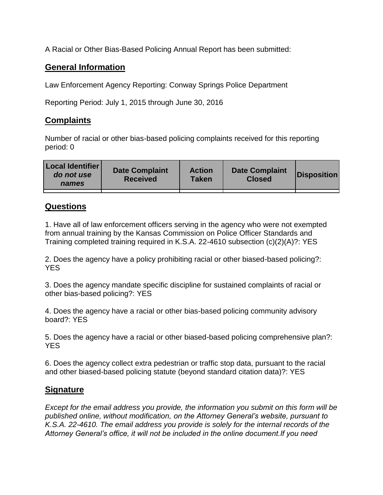A Racial or Other Bias-Based Policing Annual Report has been submitted:

## **General Information**

Law Enforcement Agency Reporting: Conway Springs Police Department

Reporting Period: July 1, 2015 through June 30, 2016

## **Complaints**

Number of racial or other bias-based policing complaints received for this reporting period: 0

| <b>Local Identifier</b><br>do not use<br>names | <b>Date Complaint</b><br><b>Received</b> | <b>Action</b><br><b>Taken</b> | <b>Date Complaint</b><br><b>Closed</b> | Disposition |
|------------------------------------------------|------------------------------------------|-------------------------------|----------------------------------------|-------------|
|                                                |                                          |                               |                                        |             |

## **Questions**

1. Have all of law enforcement officers serving in the agency who were not exempted from annual training by the Kansas Commission on Police Officer Standards and Training completed training required in K.S.A. 22-4610 subsection (c)(2)(A)?: YES

2. Does the agency have a policy prohibiting racial or other biased-based policing?: YES

3. Does the agency mandate specific discipline for sustained complaints of racial or other bias-based policing?: YES

4. Does the agency have a racial or other bias-based policing community advisory board?: YES

5. Does the agency have a racial or other biased-based policing comprehensive plan?: YES

6. Does the agency collect extra pedestrian or traffic stop data, pursuant to the racial and other biased-based policing statute (beyond standard citation data)?: YES

## **Signature**

*Except for the email address you provide, the information you submit on this form will be published online, without modification, on the Attorney General's website, pursuant to K.S.A. 22-4610. The email address you provide is solely for the internal records of the Attorney General's office, it will not be included in the online document.If you need*